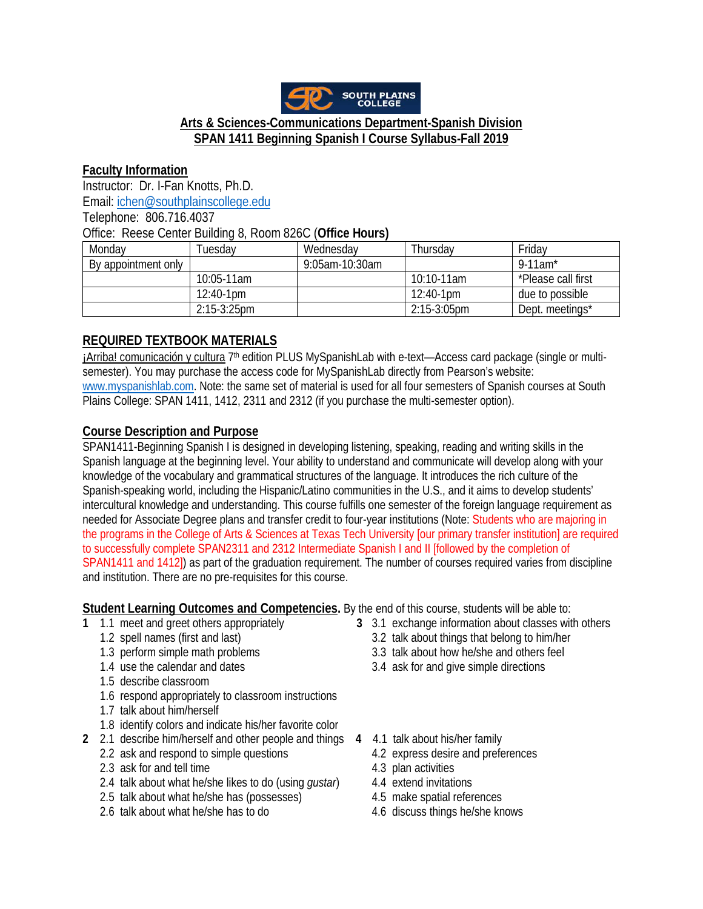

# **Arts & Sciences-Communications Department-Spanish Division SPAN 1411 Beginning Spanish I Course Syllabus-Fall 2019**

## **Faculty Information**

Instructor: Dr. I-Fan Knotts, Ph.D. Email: [ichen@southplainscollege.edu](mailto:ichen@southplainscollege.edu)

Telephone: 806.716.4037

Office: Reese Center Building 8, Room 826C (**Office Hours)**

| Monday              | Tuesdav      | Wednesday      | Thursday       | Friday                 |
|---------------------|--------------|----------------|----------------|------------------------|
| By appointment only |              | 9:05am-10:30am |                | $9-11$ am <sup>*</sup> |
|                     | 10:05-11am   |                | $10:10-11am$   | *Please call first     |
|                     | $12:40-1$ pm |                | $12:40-1$ pm   | due to possible        |
|                     | 2:15-3:25pm  |                | $2:15-3:05$ pm | Dept. meetings*        |

# **REQUIRED TEXTBOOK MATERIALS**

¡Arriba! comunicación y cultura 7th edition PLUS MySpanishLab with e-text—Access card package (single or multisemester). You may purchase the access code for MySpanishLab directly from Pearson's website: [www.myspanishlab.com.](http://www.myspanishlab.com/) Note: the same set of material is used for all four semesters of Spanish courses at South Plains College: SPAN 1411, 1412, 2311 and 2312 (if you purchase the multi-semester option).

# **Course Description and Purpose**

SPAN1411-Beginning Spanish I is designed in developing listening, speaking, reading and writing skills in the Spanish language at the beginning level. Your ability to understand and communicate will develop along with your knowledge of the vocabulary and grammatical structures of the language. It introduces the rich culture of the Spanish-speaking world, including the Hispanic/Latino communities in the U.S., and it aims to develop students' intercultural knowledge and understanding. This course fulfills one semester of the foreign language requirement as needed for Associate Degree plans and transfer credit to four-year institutions (Note: Students who are majoring in the programs in the College of Arts & Sciences at Texas Tech University [our primary transfer institution] are required to successfully complete SPAN2311 and 2312 Intermediate Spanish I and II [followed by the completion of SPAN1411 and 1412]) as part of the graduation requirement. The number of courses required varies from discipline and institution. There are no pre-requisites for this course.

**Student Learning Outcomes and Competencies.** By the end of this course, students will be able to:

- 
- 
- 
- 
- 1.5 describe classroom
- 1.6 respond appropriately to classroom instructions
- 1.7 talk about him/herself
- 1.8 identify colors and indicate his/her favorite color
- **2** 2.1 describe him/herself and other people and things **4** 4.1 talk about his/her family
	-
	- 2.3 ask for and tell time 4.3 plan activities
	- 2.4 talk about what he/she likes to do (using *gustar*) 4.4 extend invitations
	- 2.5 talk about what he/she has (possesses) 4.5 make spatial references
	- 2.6 talk about what he/she has to do 4.6 discuss things he/she knows
- **1** 1.1 meet and greet others appropriately **3** 3.1 exchange information about classes with others
	- 3.2 talk about things that belong to him/her
	- 1.3 perform simple math problems 3.3 talk about how he/she and others feel<br>1.4 use the calendar and dates 3.4 ask for and give simple directions
		- 3.4 ask for and give simple directions
		- - 4.2 express desire and preferences
			-
			-
			-
			-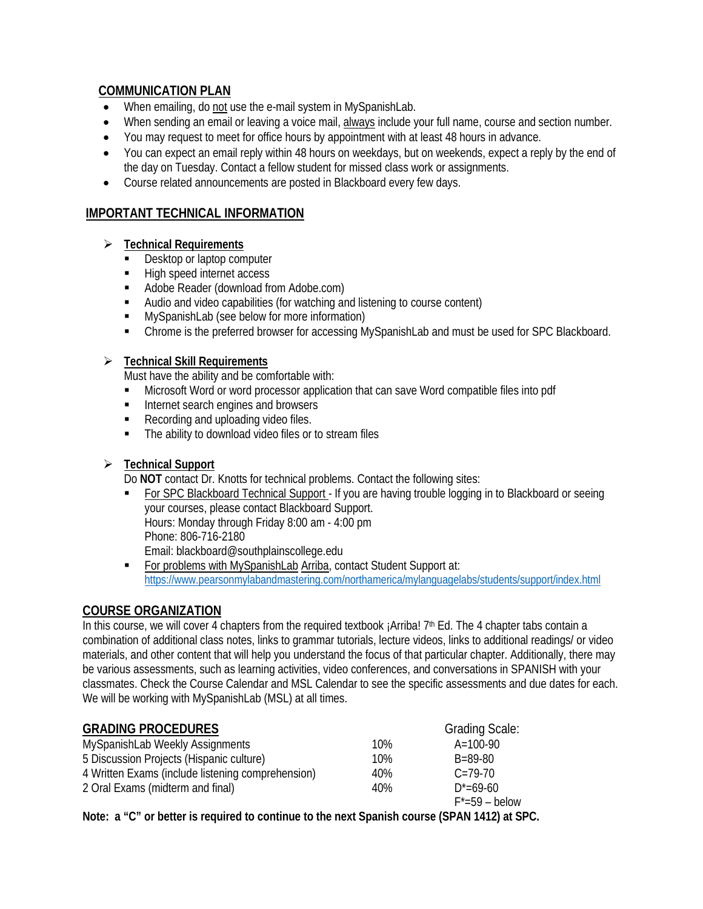# **COMMUNICATION PLAN**

- When emailing, do not use the e-mail system in MySpanishLab.
- When sending an email or leaving a voice mail, always include your full name, course and section number.
- You may request to meet for office hours by appointment with at least 48 hours in advance.
- You can expect an email reply within 48 hours on weekdays, but on weekends, expect a reply by the end of the day on Tuesday. Contact a fellow student for missed class work or assignments.
- Course related announcements are posted in Blackboard every few days.

## **IMPORTANT TECHNICAL INFORMATION**

- **Technical Requirements**
	- Desktop or laptop computer
	- High speed internet access
	- **Adobe Reader (download from Adobe.com)**
	- Audio and video capabilities (for watching and listening to course content)
	- **MySpanishLab (see below for more information)**
	- Chrome is the preferred browser for accessing MySpanishLab and must be used for SPC Blackboard.

## **Technical Skill Requirements**

Must have the ability and be comfortable with:

- Microsoft Word or word processor application that can save Word compatible files into pdf
- Internet search engines and browsers
- Recording and uploading video files.
- The ability to download video files or to stream files

## **Technical Support**

Do **NOT** contact Dr. Knotts for technical problems. Contact the following sites:

- For SPC Blackboard Technical Support *-* If you are having trouble logging in to Blackboard or seeing your courses, please contact Blackboard Support. Hours: Monday through Friday 8:00 am - 4:00 pm Phone: 806-716-2180 Email: blackboard@southplainscollege.edu
- For problems with MySpanishLab Arriba, contact Student Support at: <https://www.pearsonmylabandmastering.com/northamerica/mylanguagelabs/students/support/index.html>

## **COURSE ORGANIZATION**

In this course, we will cover 4 chapters from the required textbook ¡Arriba! 7<sup>th</sup> Ed. The 4 chapter tabs contain a combination of additional class notes, links to grammar tutorials, lecture videos, links to additional readings/ or video materials, and other content that will help you understand the focus of that particular chapter. Additionally, there may be various assessments, such as learning activities, video conferences, and conversations in SPANISH with your classmates. Check the Course Calendar and MSL Calendar to see the specific assessments and due dates for each. We will be working with MySpanishLab (MSL) at all times.

| <b>GRADING PROCEDURES</b>                         |     | <b>Grading Scale:</b> |
|---------------------------------------------------|-----|-----------------------|
| MySpanishLab Weekly Assignments                   | 10% | $A=100-90$            |
| 5 Discussion Projects (Hispanic culture)          | 10% | $B = 89 - 80$         |
| 4 Written Exams (include listening comprehension) | 40% | $C = 79-70$           |
| 2 Oral Exams (midterm and final)                  | 40% | $D^* = 69 - 60$       |
|                                                   |     | $F^*$ =59 – below     |
|                                                   |     | (0.0.01111101)        |

**Note: a "C" or better is required to continue to the next Spanish course (SPAN 1412) at SPC.**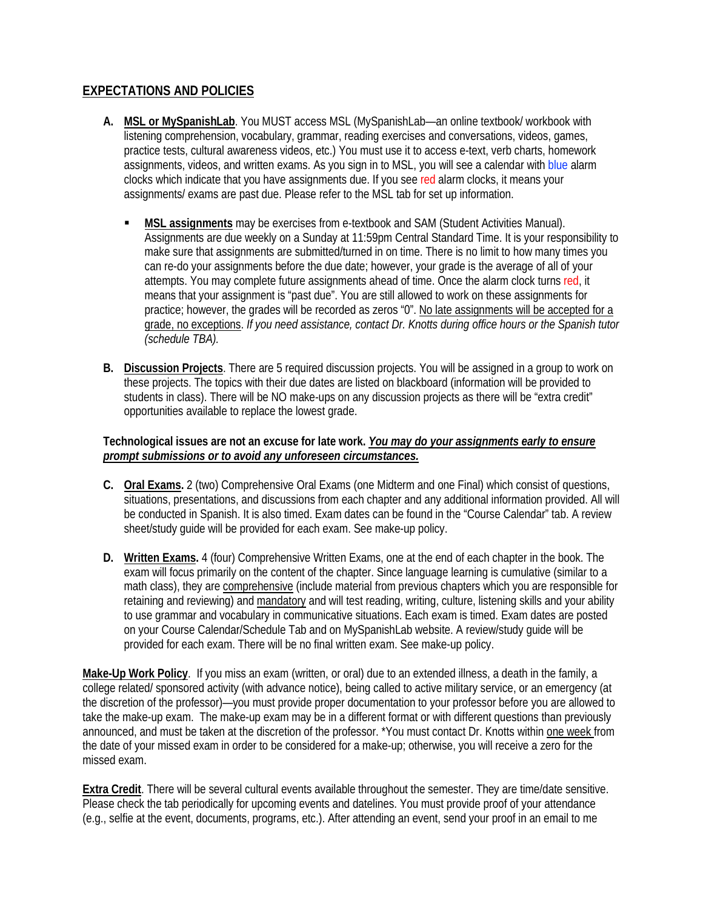## **EXPECTATIONS AND POLICIES**

- **A. MSL or MySpanishLab**. You MUST access MSL (MySpanishLab—an online textbook/ workbook with listening comprehension, vocabulary, grammar, reading exercises and conversations, videos, games, practice tests, cultural awareness videos, etc.) You must use it to access e-text, verb charts, homework assignments, videos, and written exams. As you sign in to MSL, you will see a calendar with blue alarm clocks which indicate that you have assignments due. If you see red alarm clocks, it means your assignments/ exams are past due. Please refer to the MSL tab for set up information.
	- **MSL assignments** may be exercises from e-textbook and SAM (Student Activities Manual). Assignments are due weekly on a Sunday at 11:59pm Central Standard Time. It is your responsibility to make sure that assignments are submitted/turned in on time. There is no limit to how many times you can re-do your assignments before the due date; however, your grade is the average of all of your attempts. You may complete future assignments ahead of time. Once the alarm clock turns red, it means that your assignment is "past due". You are still allowed to work on these assignments for practice; however, the grades will be recorded as zeros "0". No late assignments will be accepted for a grade, no exceptions. *If you need assistance, contact Dr. Knotts during office hours or the Spanish tutor (schedule TBA).*
- **B. Discussion Projects**. There are 5 required discussion projects. You will be assigned in a group to work on these projects. The topics with their due dates are listed on blackboard (information will be provided to students in class). There will be NO make-ups on any discussion projects as there will be "extra credit" opportunities available to replace the lowest grade.

#### **Technological issues are not an excuse for late work.** *You may do your assignments early to ensure prompt submissions or to avoid any unforeseen circumstances.*

- **C. Oral Exams.** 2 (two) Comprehensive Oral Exams (one Midterm and one Final) which consist of questions, situations, presentations, and discussions from each chapter and any additional information provided. All will be conducted in Spanish. It is also timed. Exam dates can be found in the "Course Calendar" tab. A review sheet/study guide will be provided for each exam. See make-up policy.
- **D. Written Exams.** 4 (four) Comprehensive Written Exams, one at the end of each chapter in the book. The exam will focus primarily on the content of the chapter. Since language learning is cumulative (similar to a math class), they are comprehensive (include material from previous chapters which you are responsible for retaining and reviewing) and mandatory and will test reading, writing, culture, listening skills and your ability to use grammar and vocabulary in communicative situations. Each exam is timed. Exam dates are posted on your Course Calendar/Schedule Tab and on MySpanishLab website. A review/study guide will be provided for each exam. There will be no final written exam. See make-up policy.

**Make-Up Work Policy**. If you miss an exam (written, or oral) due to an extended illness, a death in the family, a college related/ sponsored activity (with advance notice), being called to active military service, or an emergency (at the discretion of the professor)—you must provide proper documentation to your professor before you are allowed to take the make-up exam. The make-up exam may be in a different format or with different questions than previously announced, and must be taken at the discretion of the professor. \*You must contact Dr. Knotts within one week from the date of your missed exam in order to be considered for a make-up; otherwise, you will receive a zero for the missed exam.

**Extra Credit**. There will be several cultural events available throughout the semester. They are time/date sensitive. Please check the tab periodically for upcoming events and datelines. You must provide proof of your attendance (e.g., selfie at the event, documents, programs, etc.). After attending an event, send your proof in an email to me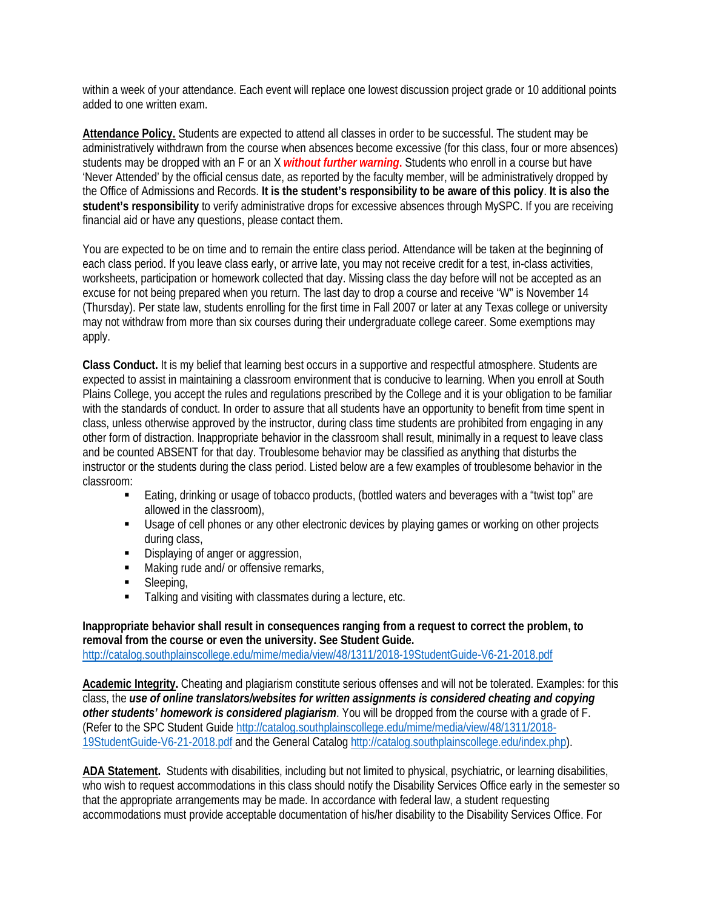within a week of your attendance. Each event will replace one lowest discussion project grade or 10 additional points added to one written exam.

**Attendance Policy.** Students are expected to attend all classes in order to be successful. The student may be administratively withdrawn from the course when absences become excessive (for this class, four or more absences) students may be dropped with an F or an X *without further warning***.** Students who enroll in a course but have 'Never Attended' by the official census date, as reported by the faculty member, will be administratively dropped by the Office of Admissions and Records. **It is the student's responsibility to be aware of this policy**. **It is also the student's responsibility** to verify administrative drops for excessive absences through MySPC. If you are receiving financial aid or have any questions, please contact them.

You are expected to be on time and to remain the entire class period. Attendance will be taken at the beginning of each class period. If you leave class early, or arrive late, you may not receive credit for a test, in-class activities, worksheets, participation or homework collected that day. Missing class the day before will not be accepted as an excuse for not being prepared when you return. The last day to drop a course and receive "W" is November 14 (Thursday). Per state law, students enrolling for the first time in Fall 2007 or later at any Texas college or university may not withdraw from more than six courses during their undergraduate college career. Some exemptions may apply.

**Class Conduct.** It is my belief that learning best occurs in a supportive and respectful atmosphere. Students are expected to assist in maintaining a classroom environment that is conducive to learning. When you enroll at South Plains College, you accept the rules and regulations prescribed by the College and it is your obligation to be familiar with the standards of conduct. In order to assure that all students have an opportunity to benefit from time spent in class, unless otherwise approved by the instructor, during class time students are prohibited from engaging in any other form of distraction. Inappropriate behavior in the classroom shall result, minimally in a request to leave class and be counted ABSENT for that day. Troublesome behavior may be classified as anything that disturbs the instructor or the students during the class period. Listed below are a few examples of troublesome behavior in the classroom:

- Eating, drinking or usage of tobacco products, (bottled waters and beverages with a "twist top" are allowed in the classroom),
- **Usage of cell phones or any other electronic devices by playing games or working on other projects** during class,
- Displaying of anger or aggression,
- Making rude and/ or offensive remarks,
- **Sleeping**,
- **Talking and visiting with classmates during a lecture, etc.**

**Inappropriate behavior shall result in consequences ranging from a request to correct the problem, to removal from the course or even the university. See Student Guide.** <http://catalog.southplainscollege.edu/mime/media/view/48/1311/2018-19StudentGuide-V6-21-2018.pdf>

**Academic Integrity.** Cheating and plagiarism constitute serious offenses and will not be tolerated. Examples: for this class, the *use of online translators/websites for written assignments is considered cheating and copying other students' homework is considered plagiarism*. You will be dropped from the course with a grade of F. (Refer to the SPC Student Guide [http://catalog.southplainscollege.edu/mime/media/view/48/1311/2018-](http://catalog.southplainscollege.edu/mime/media/view/48/1311/2018-19StudentGuide-V6-21-2018.pdf) [19StudentGuide-V6-21-2018.pdf](http://catalog.southplainscollege.edu/mime/media/view/48/1311/2018-19StudentGuide-V6-21-2018.pdf) and the General Catalo[g http://catalog.southplainscollege.edu/index.php\)](http://catalog.southplainscollege.edu/index.php).

**ADA Statement.** Students with disabilities, including but not limited to physical, psychiatric, or learning disabilities, who wish to request accommodations in this class should notify the Disability Services Office early in the semester so that the appropriate arrangements may be made. In accordance with federal law, a student requesting accommodations must provide acceptable documentation of his/her disability to the Disability Services Office. For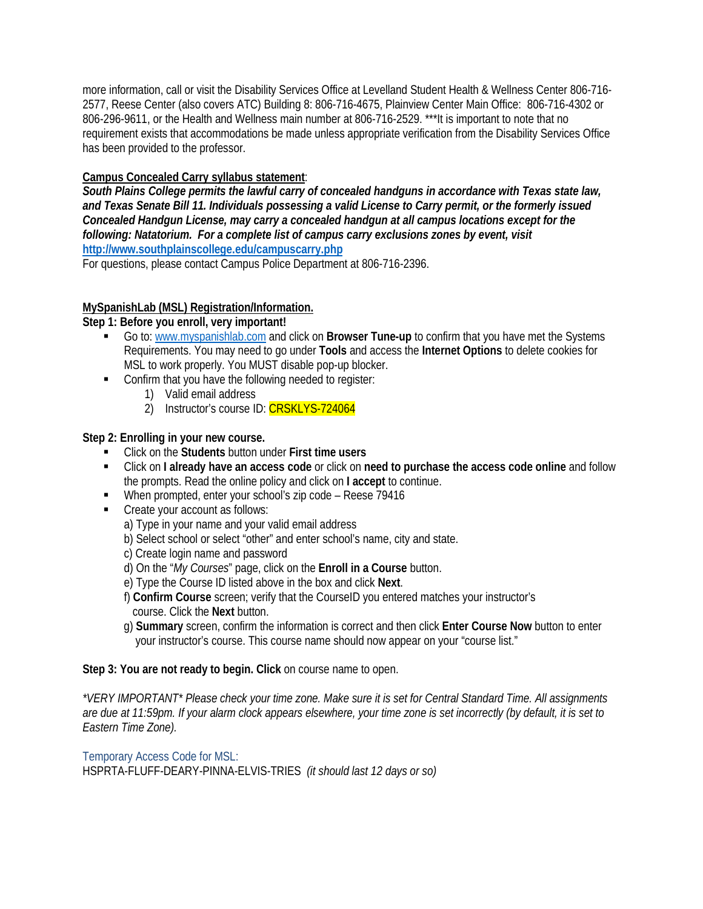more information, call or visit the Disability Services Office at Levelland Student Health & Wellness Center 806-716- 2577, Reese Center (also covers ATC) Building 8: 806-716-4675, Plainview Center Main Office: 806-716-4302 or 806-296-9611, or the Health and Wellness main number at 806-716-2529. \*\*\*It is important to note that no requirement exists that accommodations be made unless appropriate verification from the Disability Services Office has been provided to the professor.

## **Campus Concealed Carry syllabus statement**:

*South Plains College permits the lawful carry of concealed handguns in accordance with Texas state law, and Texas Senate Bill 11. Individuals possessing a valid License to Carry permit, or the formerly issued Concealed Handgun License, may carry a concealed handgun at all campus locations except for the following: Natatorium. For a complete list of campus carry exclusions zones by event, visit* **<http://www.southplainscollege.edu/campuscarry.php>**

For questions, please contact Campus Police Department at 806-716-2396.

## **MySpanishLab (MSL) Registration/Information.**

## **Step 1: Before you enroll, very important!**

- Go to: [www.myspanishlab.com](http://www.myspanishlab.com/) and click on **Browser Tune-up** to confirm that you have met the Systems Requirements. You may need to go under **Tools** and access the **Internet Options** to delete cookies for MSL to work properly. You MUST disable pop-up blocker.
- **EXECONFILLERTY CONFILM** Confirm that you have the following needed to register:
	- 1) Valid email address
	- 2) Instructor's course ID: CRSKLYS-724064

#### **Step 2: Enrolling in your new course.**

- Click on the **Students** button under **First time users**
- Click on **I already have an access code** or click on **need to purchase the access code online** and follow the prompts. Read the online policy and click on **I accept** to continue.
- When prompted, enter your school's zip code Reese 79416
- **Create your account as follows:** 
	- a) Type in your name and your valid email address
	- b) Select school or select "other" and enter school's name, city and state.
	- c) Create login name and password
	- d) On the "*My Courses*" page, click on the **Enroll in a Course** button.
	- e) Type the Course ID listed above in the box and click **Next**.
	- f) **Confirm Course** screen; verify that the CourseID you entered matches your instructor's course. Click the **Next** button.
	- g) **Summary** screen, confirm the information is correct and then click **Enter Course Now** button to enter your instructor's course. This course name should now appear on your "course list."

#### **Step 3: You are not ready to begin. Click** on course name to open.

*\*VERY IMPORTANT\* Please check your time zone. Make sure it is set for Central Standard Time. All assignments are due at 11:59pm. If your alarm clock appears elsewhere, your time zone is set incorrectly (by default, it is set to Eastern Time Zone).*

#### Temporary Access Code for MSL:

HSPRTA-FLUFF-DEARY-PINNA-ELVIS-TRIES *(it should last 12 days or so)*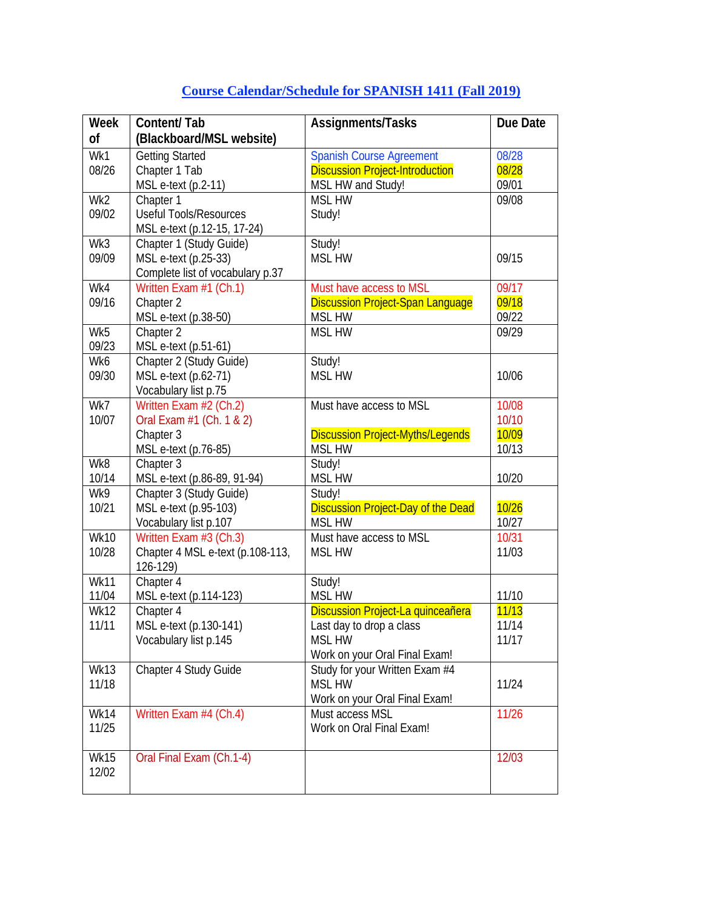| Week         | Content/Tab                                      | Assignments/Tasks                                   | Due Date |
|--------------|--------------------------------------------------|-----------------------------------------------------|----------|
| οf           | (Blackboard/MSL website)                         |                                                     |          |
| Wk1          | <b>Getting Started</b>                           | Spanish Course Agreement                            | 08/28    |
| 08/26        | Chapter 1 Tab                                    | <b>Discussion Project-Introduction</b>              | 08/28    |
|              | MSL e-text (p.2-11)                              | MSL HW and Study!                                   | 09/01    |
| Wk2          | Chapter 1                                        | <b>MSL HW</b>                                       | 09/08    |
| 09/02        | <b>Useful Tools/Resources</b>                    | Study!                                              |          |
|              | MSL e-text (p.12-15, 17-24)                      |                                                     |          |
| Wk3          | Chapter 1 (Study Guide)                          | Study!                                              |          |
| 09/09        | MSL e-text (p.25-33)                             | <b>MSL HW</b>                                       | 09/15    |
|              | Complete list of vocabulary p.37                 |                                                     |          |
| Wk4          | Written Exam #1 (Ch.1)                           | Must have access to MSL                             | 09/17    |
| 09/16        | Chapter 2                                        | <b>Discussion Project-Span Language</b>             | 09/18    |
|              | MSL e-text (p.38-50)                             | <b>MSL HW</b>                                       | 09/22    |
| Wk5          | Chapter 2                                        | <b>MSL HW</b>                                       | 09/29    |
| 09/23        | MSL e-text (p.51-61)                             |                                                     |          |
| Wk6          | Chapter 2 (Study Guide)                          | Study!                                              |          |
| 09/30        | MSL e-text (p.62-71)                             | <b>MSL HW</b>                                       | 10/06    |
|              | Vocabulary list p.75                             |                                                     |          |
| Wk7          | Written Exam #2 (Ch.2)                           | Must have access to MSL                             | 10/08    |
| 10/07        | Oral Exam #1 (Ch. 1 & 2)                         |                                                     | 10/10    |
|              | Chapter 3                                        | <b>Discussion Project-Myths/Legends</b>             | 10/09    |
|              | MSL e-text (p.76-85)                             | <b>MSL HW</b>                                       | 10/13    |
| Wk8          | Chapter 3                                        | Study!                                              |          |
| 10/14        | MSL e-text (p.86-89, 91-94)                      | <b>MSL HW</b>                                       | 10/20    |
| Wk9<br>10/21 | Chapter 3 (Study Guide)<br>MSL e-text (p.95-103) | Study!<br><b>Discussion Project-Day of the Dead</b> | 10/26    |
|              | Vocabulary list p.107                            | <b>MSL HW</b>                                       | 10/27    |
| <b>Wk10</b>  | Written Exam #3 (Ch.3)                           | Must have access to MSL                             | 10/31    |
| 10/28        | Chapter 4 MSL e-text (p.108-113,                 | <b>MSL HW</b>                                       | 11/03    |
|              | 126-129)                                         |                                                     |          |
| <b>Wk11</b>  | Chapter 4                                        | Study!                                              |          |
| 11/04        | MSL e-text (p.114-123)                           | <b>MSL HW</b>                                       | 11/10    |
| <b>Wk12</b>  | Chapter 4                                        | Discussion Project-La quinceañera                   | 11/13    |
| 11/11        | MSL e-text (p.130-141)                           | Last day to drop a class                            | 11/14    |
|              | Vocabulary list p.145                            | <b>MSL HW</b>                                       | 11/17    |
|              |                                                  | Work on your Oral Final Exam!                       |          |
| <b>Wk13</b>  | Chapter 4 Study Guide                            | Study for your Written Exam #4                      |          |
| 11/18        |                                                  | <b>MSL HW</b>                                       | 11/24    |
|              |                                                  | Work on your Oral Final Exam!                       |          |
| Wk14         | Written Exam #4 (Ch.4)                           | Must access MSL                                     | 11/26    |
| 11/25        |                                                  | Work on Oral Final Exam!                            |          |
|              |                                                  |                                                     |          |
| <b>Wk15</b>  | Oral Final Exam (Ch.1-4)                         |                                                     | 12/03    |
| 12/02        |                                                  |                                                     |          |
|              |                                                  |                                                     |          |

# **Course Calendar/Schedule for SPANISH 1411 (Fall 2019)**